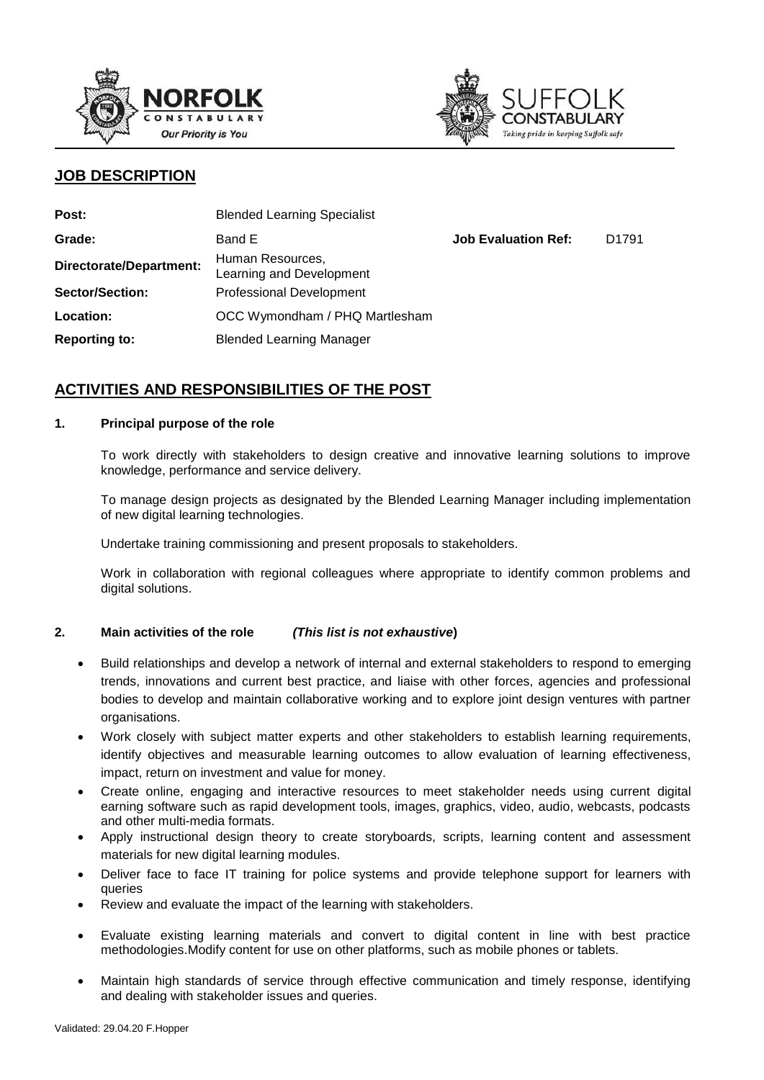



# **JOB DESCRIPTION**

| Post:                          | <b>Blended Learning Specialist</b>           |                            |                   |
|--------------------------------|----------------------------------------------|----------------------------|-------------------|
| Grade:                         | Band E                                       | <b>Job Evaluation Ref:</b> | D <sub>1791</sub> |
| <b>Directorate/Department:</b> | Human Resources,<br>Learning and Development |                            |                   |
| <b>Sector/Section:</b>         | <b>Professional Development</b>              |                            |                   |
| Location:                      | OCC Wymondham / PHQ Martlesham               |                            |                   |
| <b>Reporting to:</b>           | <b>Blended Learning Manager</b>              |                            |                   |

# **ACTIVITIES AND RESPONSIBILITIES OF THE POST**

### **1. Principal purpose of the role**

To work directly with stakeholders to design creative and innovative learning solutions to improve knowledge, performance and service delivery.

To manage design projects as designated by the Blended Learning Manager including implementation of new digital learning technologies.

Undertake training commissioning and present proposals to stakeholders.

Work in collaboration with regional colleagues where appropriate to identify common problems and digital solutions.

### **2. Main activities of the role** *(This list is not exhaustive***)**

- Build relationships and develop a network of internal and external stakeholders to respond to emerging trends, innovations and current best practice, and liaise with other forces, agencies and professional bodies to develop and maintain collaborative working and to explore joint design ventures with partner organisations.
- Work closely with subject matter experts and other stakeholders to establish learning requirements, identify objectives and measurable learning outcomes to allow evaluation of learning effectiveness, impact, return on investment and value for money.
- Create online, engaging and interactive resources to meet stakeholder needs using current digital earning software such as rapid development tools, images, graphics, video, audio, webcasts, podcasts and other multi-media formats.
- Apply instructional design theory to create storyboards, scripts, learning content and assessment materials for new digital learning modules.
- Deliver face to face IT training for police systems and provide telephone support for learners with queries
- Review and evaluate the impact of the learning with stakeholders.
- Evaluate existing learning materials and convert to digital content in line with best practice methodologies.Modify content for use on other platforms, such as mobile phones or tablets.
- Maintain high standards of service through effective communication and timely response, identifying and dealing with stakeholder issues and queries.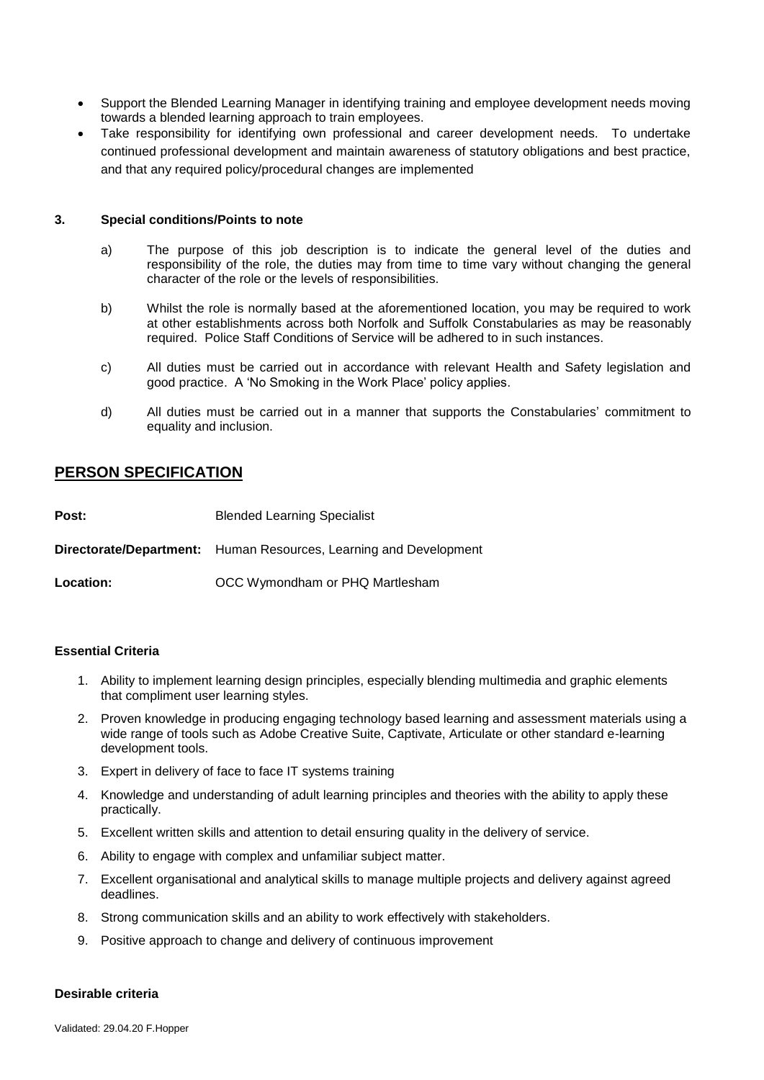- Support the Blended Learning Manager in identifying training and employee development needs moving towards a blended learning approach to train employees.
- Take responsibility for identifying own professional and career development needs. To undertake continued professional development and maintain awareness of statutory obligations and best practice, and that any required policy/procedural changes are implemented

#### **3. Special conditions/Points to note**

- a) The purpose of this job description is to indicate the general level of the duties and responsibility of the role, the duties may from time to time vary without changing the general character of the role or the levels of responsibilities.
- b) Whilst the role is normally based at the aforementioned location, you may be required to work at other establishments across both Norfolk and Suffolk Constabularies as may be reasonably required. Police Staff Conditions of Service will be adhered to in such instances.
- c) All duties must be carried out in accordance with relevant Health and Safety legislation and good practice. A 'No Smoking in the Work Place' policy applies.
- d) All duties must be carried out in a manner that supports the Constabularies' commitment to equality and inclusion.

## **PERSON SPECIFICATION**

| Post:     | <b>Blended Learning Specialist</b>                                       |
|-----------|--------------------------------------------------------------------------|
|           | <b>Directorate/Department:</b> Human Resources, Learning and Development |
| Location: | OCC Wymondham or PHQ Martlesham                                          |

#### **Essential Criteria**

- 1. Ability to implement learning design principles, especially blending multimedia and graphic elements that compliment user learning styles.
- 2. Proven knowledge in producing engaging technology based learning and assessment materials using a wide range of tools such as Adobe Creative Suite, Captivate, Articulate or other standard e-learning development tools.
- 3. Expert in delivery of face to face IT systems training
- 4. Knowledge and understanding of adult learning principles and theories with the ability to apply these practically.
- 5. Excellent written skills and attention to detail ensuring quality in the delivery of service.
- 6. Ability to engage with complex and unfamiliar subject matter.
- 7. Excellent organisational and analytical skills to manage multiple projects and delivery against agreed deadlines.
- 8. Strong communication skills and an ability to work effectively with stakeholders.
- 9. Positive approach to change and delivery of continuous improvement

### **Desirable criteria**